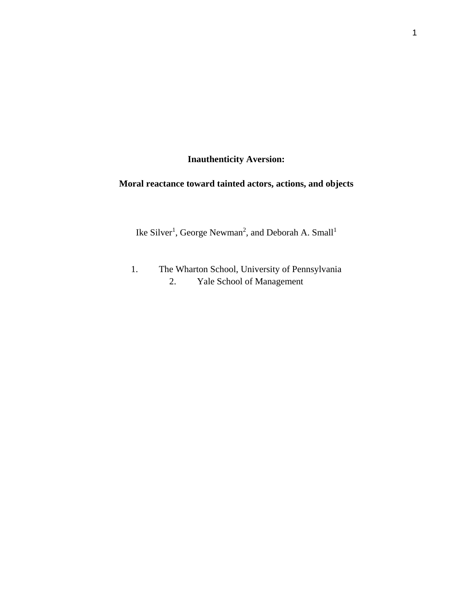**Inauthenticity Aversion:** 

# **Moral reactance toward tainted actors, actions, and objects**

Ike Silver<sup>1</sup>, George Newman<sup>2</sup>, and Deborah A. Small<sup>1</sup>

1. The Wharton School, University of Pennsylvania 2. Yale School of Management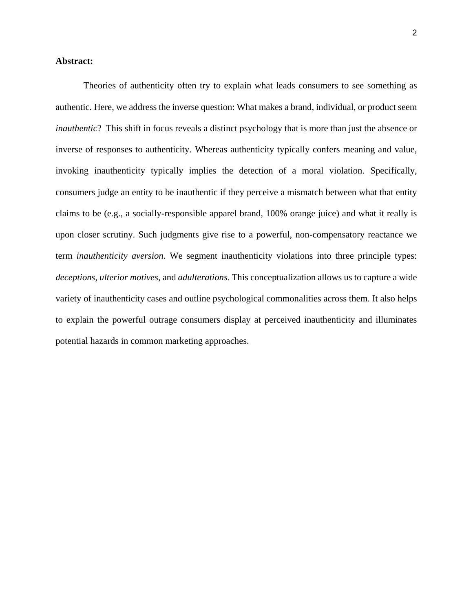## **Abstract:**

Theories of authenticity often try to explain what leads consumers to see something as authentic. Here, we address the inverse question: What makes a brand, individual, or product seem *inauthentic*? This shift in focus reveals a distinct psychology that is more than just the absence or inverse of responses to authenticity. Whereas authenticity typically confers meaning and value, invoking inauthenticity typically implies the detection of a moral violation. Specifically, consumers judge an entity to be inauthentic if they perceive a mismatch between what that entity claims to be (e.g., a socially-responsible apparel brand, 100% orange juice) and what it really is upon closer scrutiny. Such judgments give rise to a powerful, non-compensatory reactance we term *inauthenticity aversion*. We segment inauthenticity violations into three principle types: *deceptions*, *ulterior motives*, and *adulterations*. This conceptualization allows us to capture a wide variety of inauthenticity cases and outline psychological commonalities across them. It also helps to explain the powerful outrage consumers display at perceived inauthenticity and illuminates potential hazards in common marketing approaches.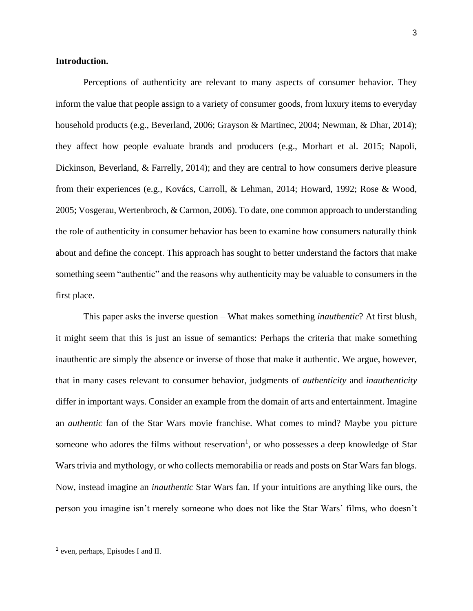## **Introduction.**

Perceptions of authenticity are relevant to many aspects of consumer behavior. They inform the value that people assign to a variety of consumer goods, from luxury items to everyday household products (e.g., Beverland, 2006; Grayson & Martinec, 2004; Newman, & Dhar, 2014); they affect how people evaluate brands and producers (e.g., Morhart et al. 2015; Napoli, Dickinson, Beverland, & Farrelly, 2014); and they are central to how consumers derive pleasure from their experiences (e.g., Kovács, Carroll, & Lehman, 2014; Howard, 1992; Rose & Wood, 2005; Vosgerau, Wertenbroch, & Carmon, 2006). To date, one common approach to understanding the role of authenticity in consumer behavior has been to examine how consumers naturally think about and define the concept. This approach has sought to better understand the factors that make something seem "authentic" and the reasons why authenticity may be valuable to consumers in the first place.

This paper asks the inverse question – What makes something *inauthentic*? At first blush, it might seem that this is just an issue of semantics: Perhaps the criteria that make something inauthentic are simply the absence or inverse of those that make it authentic. We argue, however, that in many cases relevant to consumer behavior, judgments of *authenticity* and *inauthenticity* differ in important ways. Consider an example from the domain of arts and entertainment. Imagine an *authentic* fan of the Star Wars movie franchise. What comes to mind? Maybe you picture someone who adores the films without reservation<sup>1</sup>, or who possesses a deep knowledge of Star Wars trivia and mythology, or who collects memorabilia or reads and posts on Star Wars fan blogs. Now, instead imagine an *inauthentic* Star Wars fan. If your intuitions are anything like ours, the person you imagine isn't merely someone who does not like the Star Wars' films, who doesn't

<sup>1</sup> even, perhaps, Episodes I and II.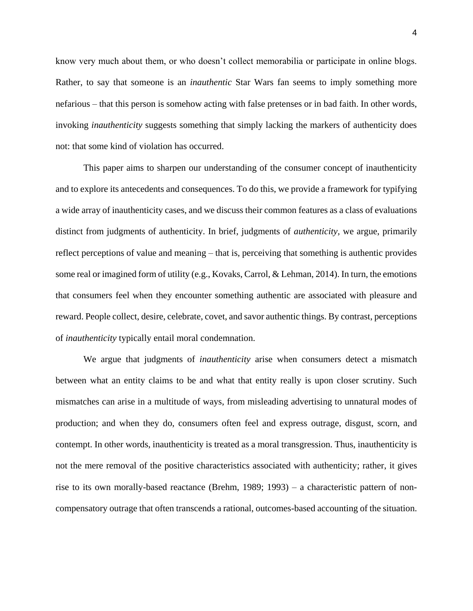know very much about them, or who doesn't collect memorabilia or participate in online blogs. Rather, to say that someone is an *inauthentic* Star Wars fan seems to imply something more nefarious – that this person is somehow acting with false pretenses or in bad faith. In other words, invoking *inauthenticity* suggests something that simply lacking the markers of authenticity does not: that some kind of violation has occurred.

This paper aims to sharpen our understanding of the consumer concept of inauthenticity and to explore its antecedents and consequences. To do this, we provide a framework for typifying a wide array of inauthenticity cases, and we discuss their common features as a class of evaluations distinct from judgments of authenticity. In brief, judgments of *authenticity,* we argue, primarily reflect perceptions of value and meaning – that is, perceiving that something is authentic provides some real or imagined form of utility (e.g., Kovaks, Carrol, & Lehman, 2014). In turn, the emotions that consumers feel when they encounter something authentic are associated with pleasure and reward. People collect, desire, celebrate, covet, and savor authentic things. By contrast, perceptions of *inauthenticity* typically entail moral condemnation.

We argue that judgments of *inauthenticity* arise when consumers detect a mismatch between what an entity claims to be and what that entity really is upon closer scrutiny. Such mismatches can arise in a multitude of ways, from misleading advertising to unnatural modes of production; and when they do, consumers often feel and express outrage, disgust, scorn, and contempt. In other words, inauthenticity is treated as a moral transgression. Thus, inauthenticity is not the mere removal of the positive characteristics associated with authenticity; rather, it gives rise to its own morally-based reactance (Brehm, 1989; 1993) – a characteristic pattern of noncompensatory outrage that often transcends a rational, outcomes-based accounting of the situation.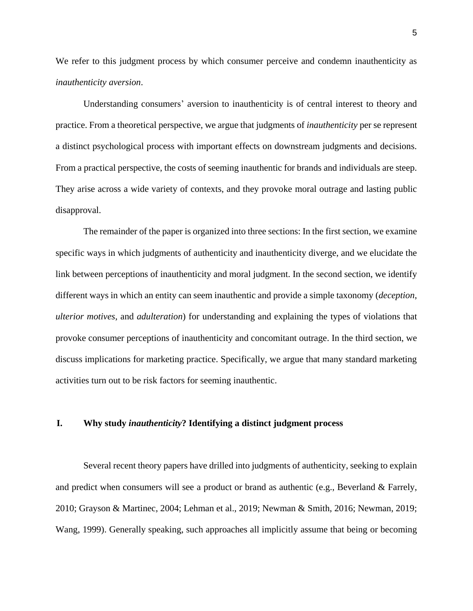We refer to this judgment process by which consumer perceive and condemn inauthenticity as *inauthenticity aversion*.

Understanding consumers' aversion to inauthenticity is of central interest to theory and practice. From a theoretical perspective, we argue that judgments of *inauthenticity* per se represent a distinct psychological process with important effects on downstream judgments and decisions. From a practical perspective, the costs of seeming inauthentic for brands and individuals are steep. They arise across a wide variety of contexts, and they provoke moral outrage and lasting public disapproval.

The remainder of the paper is organized into three sections: In the first section, we examine specific ways in which judgments of authenticity and inauthenticity diverge, and we elucidate the link between perceptions of inauthenticity and moral judgment. In the second section, we identify different ways in which an entity can seem inauthentic and provide a simple taxonomy (*deception*, *ulterior motives*, and *adulteration*) for understanding and explaining the types of violations that provoke consumer perceptions of inauthenticity and concomitant outrage. In the third section, we discuss implications for marketing practice. Specifically, we argue that many standard marketing activities turn out to be risk factors for seeming inauthentic.

## **I. Why study** *inauthenticity***? Identifying a distinct judgment process**

Several recent theory papers have drilled into judgments of authenticity, seeking to explain and predict when consumers will see a product or brand as authentic (e.g., Beverland & Farrely, 2010; Grayson & Martinec, 2004; Lehman et al., 2019; Newman & Smith, 2016; Newman, 2019; Wang, 1999). Generally speaking, such approaches all implicitly assume that being or becoming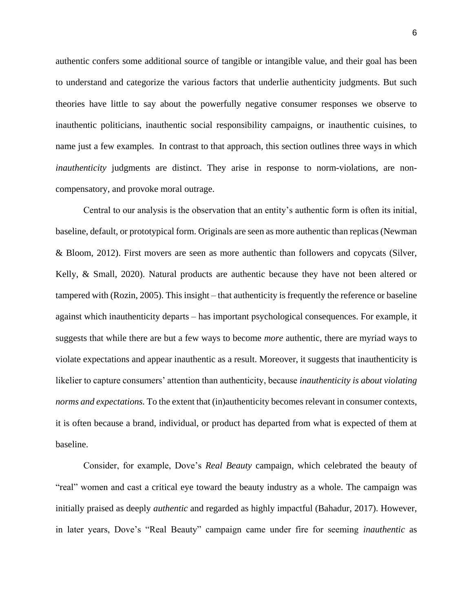authentic confers some additional source of tangible or intangible value, and their goal has been to understand and categorize the various factors that underlie authenticity judgments. But such theories have little to say about the powerfully negative consumer responses we observe to inauthentic politicians, inauthentic social responsibility campaigns, or inauthentic cuisines, to name just a few examples. In contrast to that approach, this section outlines three ways in which *inauthenticity* judgments are distinct. They arise in response to norm-violations, are noncompensatory, and provoke moral outrage.

Central to our analysis is the observation that an entity's authentic form is often its initial, baseline, default, or prototypical form. Originals are seen as more authentic than replicas (Newman & Bloom, 2012). First movers are seen as more authentic than followers and copycats (Silver, Kelly, & Small, 2020). Natural products are authentic because they have not been altered or tampered with (Rozin, 2005). This insight – that authenticity is frequently the reference or baseline against which inauthenticity departs – has important psychological consequences. For example, it suggests that while there are but a few ways to become *more* authentic, there are myriad ways to violate expectations and appear inauthentic as a result. Moreover, it suggests that inauthenticity is likelier to capture consumers' attention than authenticity, because *inauthenticity is about violating norms and expectations.* To the extent that (in)authenticity becomes relevant in consumer contexts, it is often because a brand, individual, or product has departed from what is expected of them at baseline.

Consider, for example, Dove's *Real Beauty* campaign, which celebrated the beauty of "real" women and cast a critical eye toward the beauty industry as a whole. The campaign was initially praised as deeply *authentic* and regarded as highly impactful (Bahadur, 2017). However, in later years, Dove's "Real Beauty" campaign came under fire for seeming *inauthentic* as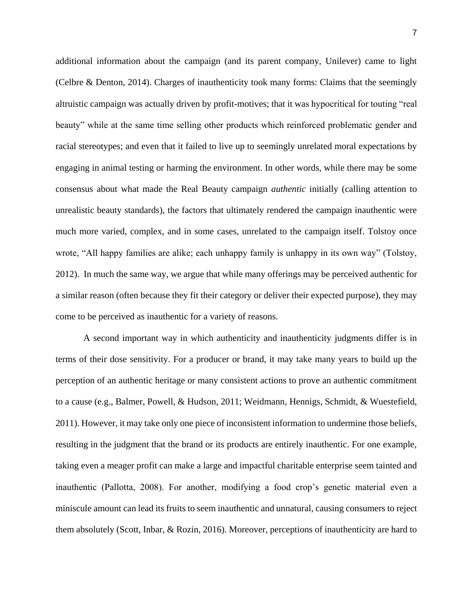additional information about the campaign (and its parent company, Unilever) came to light (Celbre & Denton, 2014). Charges of inauthenticity took many forms: Claims that the seemingly altruistic campaign was actually driven by profit-motives; that it was hypocritical for touting "real beauty" while at the same time selling other products which reinforced problematic gender and racial stereotypes; and even that it failed to live up to seemingly unrelated moral expectations by engaging in animal testing or harming the environment. In other words, while there may be some consensus about what made the Real Beauty campaign *authentic* initially (calling attention to unrealistic beauty standards), the factors that ultimately rendered the campaign inauthentic were much more varied, complex, and in some cases, unrelated to the campaign itself. Tolstoy once wrote, "All happy families are alike; each unhappy family is unhappy in its own way" (Tolstoy, 2012). In much the same way, we argue that while many offerings may be perceived authentic for a similar reason (often because they fit their category or deliver their expected purpose), they may come to be perceived as inauthentic for a variety of reasons.

A second important way in which authenticity and inauthenticity judgments differ is in terms of their dose sensitivity. For a producer or brand, it may take many years to build up the perception of an authentic heritage or many consistent actions to prove an authentic commitment to a cause (e.g., Balmer, Powell, & Hudson, 2011; Weidmann, Hennigs, Schmidt, & Wuestefield, 2011). However, it may take only one piece of inconsistent information to undermine those beliefs, resulting in the judgment that the brand or its products are entirely inauthentic. For one example, taking even a meager profit can make a large and impactful charitable enterprise seem tainted and inauthentic (Pallotta, 2008). For another, modifying a food crop's genetic material even a miniscule amount can lead its fruits to seem inauthentic and unnatural, causing consumers to reject them absolutely (Scott, Inbar, & Rozin, 2016). Moreover, perceptions of inauthenticity are hard to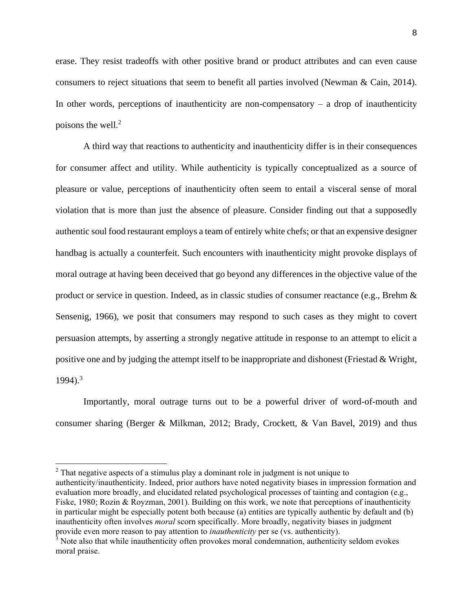erase. They resist tradeoffs with other positive brand or product attributes and can even cause consumers to reject situations that seem to benefit all parties involved (Newman & Cain, 2014). In other words, perceptions of inauthenticity are non-compensatory  $-$  a drop of inauthenticity poisons the well. $2$ 

A third way that reactions to authenticity and inauthenticity differ is in their consequences for consumer affect and utility. While authenticity is typically conceptualized as a source of pleasure or value, perceptions of inauthenticity often seem to entail a visceral sense of moral violation that is more than just the absence of pleasure. Consider finding out that a supposedly authentic soul food restaurant employs a team of entirely white chefs; or that an expensive designer handbag is actually a counterfeit. Such encounters with inauthenticity might provoke displays of moral outrage at having been deceived that go beyond any differences in the objective value of the product or service in question. Indeed, as in classic studies of consumer reactance (e.g., Brehm & Sensenig, 1966), we posit that consumers may respond to such cases as they might to covert persuasion attempts, by asserting a strongly negative attitude in response to an attempt to elicit a positive one and by judging the attempt itself to be inappropriate and dishonest (Friestad & Wright,  $1994$ .<sup>3</sup>

Importantly, moral outrage turns out to be a powerful driver of word-of-mouth and consumer sharing (Berger & Milkman, 2012; Brady, Crockett, & Van Bavel, 2019) and thus

<sup>&</sup>lt;sup>2</sup> That negative aspects of a stimulus play a dominant role in judgment is not unique to authenticity/inauthenticity. Indeed, prior authors have noted negativity biases in impression formation and evaluation more broadly, and elucidated related psychological processes of tainting and contagion (e.g., Fiske, 1980; Rozin & Royzman, 2001). Building on this work, we note that perceptions of inauthenticity in particular might be especially potent both because (a) entities are typically authentic by default and (b) inauthenticity often involves *moral* scorn specifically. More broadly, negativity biases in judgment provide even more reason to pay attention to *inauthenticity* per se (vs. authenticity).

 $3$  Note also that while inauthenticity often provokes moral condemnation, authenticity seldom evokes moral praise.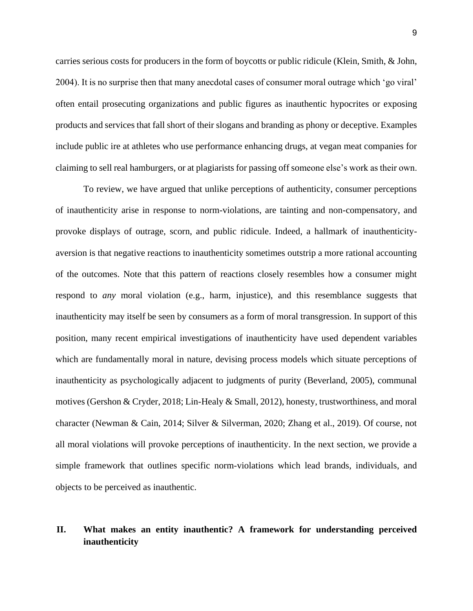carries serious costs for producers in the form of boycotts or public ridicule (Klein, Smith, & John, 2004). It is no surprise then that many anecdotal cases of consumer moral outrage which 'go viral' often entail prosecuting organizations and public figures as inauthentic hypocrites or exposing products and services that fall short of their slogans and branding as phony or deceptive. Examples include public ire at athletes who use performance enhancing drugs, at vegan meat companies for claiming to sell real hamburgers, or at plagiarists for passing off someone else's work as their own.

To review, we have argued that unlike perceptions of authenticity, consumer perceptions of inauthenticity arise in response to norm-violations, are tainting and non-compensatory, and provoke displays of outrage, scorn, and public ridicule. Indeed, a hallmark of inauthenticityaversion is that negative reactions to inauthenticity sometimes outstrip a more rational accounting of the outcomes. Note that this pattern of reactions closely resembles how a consumer might respond to *any* moral violation (e.g., harm, injustice), and this resemblance suggests that inauthenticity may itself be seen by consumers as a form of moral transgression. In support of this position, many recent empirical investigations of inauthenticity have used dependent variables which are fundamentally moral in nature, devising process models which situate perceptions of inauthenticity as psychologically adjacent to judgments of purity (Beverland, 2005), communal motives (Gershon & Cryder, 2018; Lin-Healy & Small, 2012), honesty, trustworthiness, and moral character (Newman & Cain, 2014; Silver & Silverman, 2020; Zhang et al., 2019). Of course, not all moral violations will provoke perceptions of inauthenticity. In the next section, we provide a simple framework that outlines specific norm-violations which lead brands, individuals, and objects to be perceived as inauthentic.

## **II. What makes an entity inauthentic? A framework for understanding perceived inauthenticity**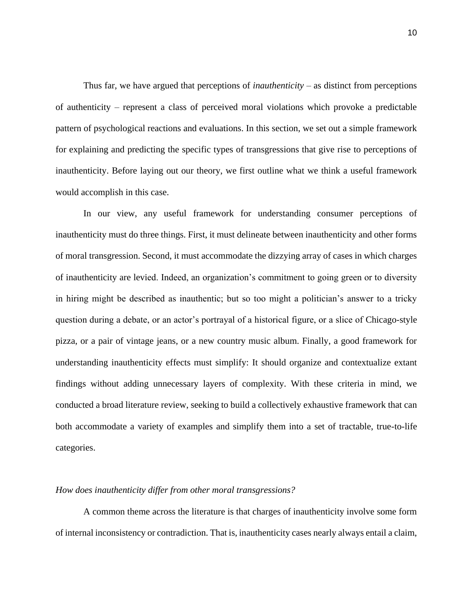Thus far, we have argued that perceptions of *inauthenticity* – as distinct from perceptions of authenticity – represent a class of perceived moral violations which provoke a predictable pattern of psychological reactions and evaluations. In this section, we set out a simple framework for explaining and predicting the specific types of transgressions that give rise to perceptions of inauthenticity. Before laying out our theory, we first outline what we think a useful framework would accomplish in this case.

In our view, any useful framework for understanding consumer perceptions of inauthenticity must do three things. First, it must delineate between inauthenticity and other forms of moral transgression. Second, it must accommodate the dizzying array of cases in which charges of inauthenticity are levied. Indeed, an organization's commitment to going green or to diversity in hiring might be described as inauthentic; but so too might a politician's answer to a tricky question during a debate, or an actor's portrayal of a historical figure, or a slice of Chicago-style pizza, or a pair of vintage jeans, or a new country music album. Finally, a good framework for understanding inauthenticity effects must simplify: It should organize and contextualize extant findings without adding unnecessary layers of complexity. With these criteria in mind, we conducted a broad literature review, seeking to build a collectively exhaustive framework that can both accommodate a variety of examples and simplify them into a set of tractable, true-to-life categories.

#### *How does inauthenticity differ from other moral transgressions?*

A common theme across the literature is that charges of inauthenticity involve some form of internal inconsistency or contradiction. That is, inauthenticity cases nearly always entail a claim,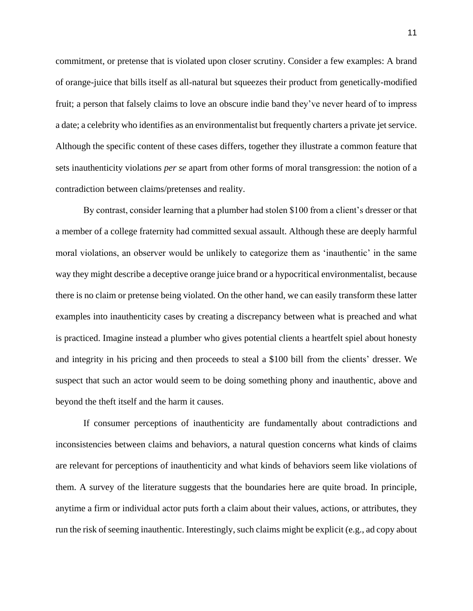commitment, or pretense that is violated upon closer scrutiny. Consider a few examples: A brand of orange-juice that bills itself as all-natural but squeezes their product from genetically-modified fruit; a person that falsely claims to love an obscure indie band they've never heard of to impress a date; a celebrity who identifies as an environmentalist but frequently charters a private jet service. Although the specific content of these cases differs, together they illustrate a common feature that sets inauthenticity violations *per se* apart from other forms of moral transgression: the notion of a contradiction between claims/pretenses and reality.

By contrast, consider learning that a plumber had stolen \$100 from a client's dresser or that a member of a college fraternity had committed sexual assault. Although these are deeply harmful moral violations, an observer would be unlikely to categorize them as 'inauthentic' in the same way they might describe a deceptive orange juice brand or a hypocritical environmentalist, because there is no claim or pretense being violated. On the other hand, we can easily transform these latter examples into inauthenticity cases by creating a discrepancy between what is preached and what is practiced. Imagine instead a plumber who gives potential clients a heartfelt spiel about honesty and integrity in his pricing and then proceeds to steal a \$100 bill from the clients' dresser. We suspect that such an actor would seem to be doing something phony and inauthentic, above and beyond the theft itself and the harm it causes.

If consumer perceptions of inauthenticity are fundamentally about contradictions and inconsistencies between claims and behaviors, a natural question concerns what kinds of claims are relevant for perceptions of inauthenticity and what kinds of behaviors seem like violations of them. A survey of the literature suggests that the boundaries here are quite broad. In principle, anytime a firm or individual actor puts forth a claim about their values, actions, or attributes, they run the risk of seeming inauthentic. Interestingly, such claims might be explicit (e.g., ad copy about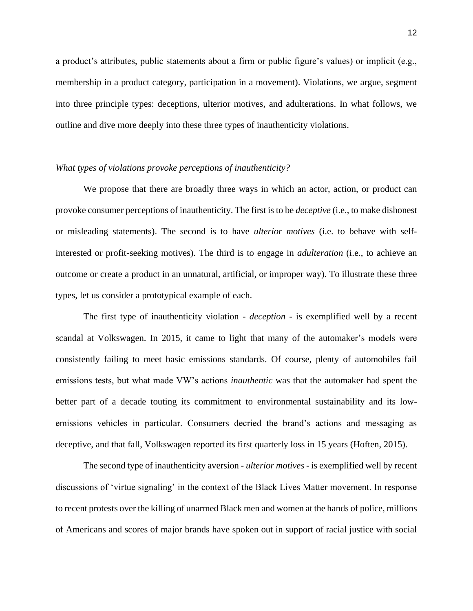a product's attributes, public statements about a firm or public figure's values) or implicit (e.g., membership in a product category, participation in a movement). Violations, we argue, segment into three principle types: deceptions, ulterior motives, and adulterations. In what follows, we outline and dive more deeply into these three types of inauthenticity violations.

#### *What types of violations provoke perceptions of inauthenticity?*

We propose that there are broadly three ways in which an actor, action, or product can provoke consumer perceptions of inauthenticity. The first is to be *deceptive* (i.e., to make dishonest or misleading statements). The second is to have *ulterior motives* (i.e. to behave with selfinterested or profit-seeking motives). The third is to engage in *adulteration* (i.e., to achieve an outcome or create a product in an unnatural, artificial, or improper way). To illustrate these three types, let us consider a prototypical example of each.

The first type of inauthenticity violation - *deception* - is exemplified well by a recent scandal at Volkswagen. In 2015, it came to light that many of the automaker's models were consistently failing to meet basic emissions standards. Of course, plenty of automobiles fail emissions tests, but what made VW's actions *inauthentic* was that the automaker had spent the better part of a decade touting its commitment to environmental sustainability and its lowemissions vehicles in particular. Consumers decried the brand's actions and messaging as deceptive, and that fall, Volkswagen reported its first quarterly loss in 15 years (Hoften, 2015).

The second type of inauthenticity aversion - *ulterior motives* - is exemplified well by recent discussions of 'virtue signaling' in the context of the Black Lives Matter movement. In response to recent protests over the killing of unarmed Black men and women at the hands of police, millions of Americans and scores of major brands have spoken out in support of racial justice with social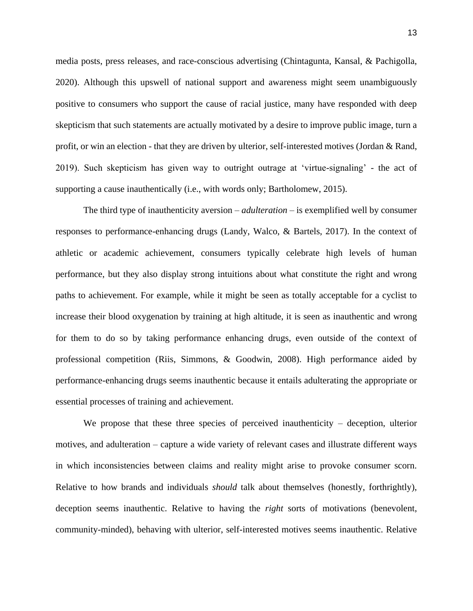media posts, press releases, and race-conscious advertising (Chintagunta, Kansal, & Pachigolla, 2020). Although this upswell of national support and awareness might seem unambiguously positive to consumers who support the cause of racial justice, many have responded with deep skepticism that such statements are actually motivated by a desire to improve public image, turn a profit, or win an election - that they are driven by ulterior, self-interested motives (Jordan & Rand, 2019). Such skepticism has given way to outright outrage at 'virtue-signaling' - the act of supporting a cause inauthentically (i.e., with words only; Bartholomew, 2015).

The third type of inauthenticity aversion – *adulteration* – is exemplified well by consumer responses to performance-enhancing drugs (Landy, Walco, & Bartels, 2017). In the context of athletic or academic achievement, consumers typically celebrate high levels of human performance, but they also display strong intuitions about what constitute the right and wrong paths to achievement. For example, while it might be seen as totally acceptable for a cyclist to increase their blood oxygenation by training at high altitude, it is seen as inauthentic and wrong for them to do so by taking performance enhancing drugs, even outside of the context of professional competition (Riis, Simmons, & Goodwin, 2008). High performance aided by performance-enhancing drugs seems inauthentic because it entails adulterating the appropriate or essential processes of training and achievement.

We propose that these three species of perceived inauthenticity – deception, ulterior motives, and adulteration – capture a wide variety of relevant cases and illustrate different ways in which inconsistencies between claims and reality might arise to provoke consumer scorn. Relative to how brands and individuals *should* talk about themselves (honestly, forthrightly), deception seems inauthentic. Relative to having the *right* sorts of motivations (benevolent, community-minded), behaving with ulterior, self-interested motives seems inauthentic. Relative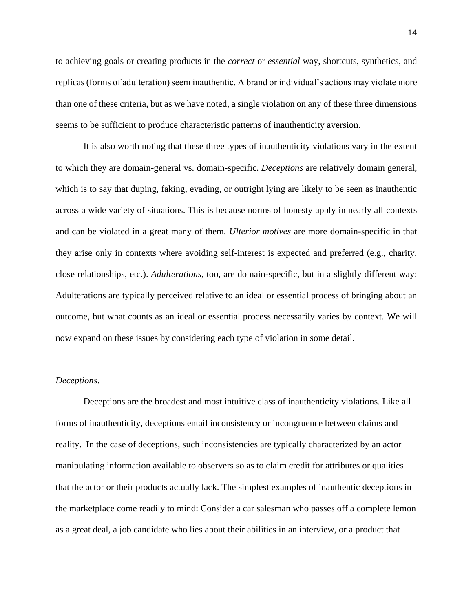to achieving goals or creating products in the *correct* or *essential* way, shortcuts, synthetics, and replicas (forms of adulteration) seem inauthentic. A brand or individual's actions may violate more than one of these criteria, but as we have noted, a single violation on any of these three dimensions seems to be sufficient to produce characteristic patterns of inauthenticity aversion.

It is also worth noting that these three types of inauthenticity violations vary in the extent to which they are domain-general vs. domain-specific. *Deceptions* are relatively domain general, which is to say that duping, faking, evading, or outright lying are likely to be seen as inauthentic across a wide variety of situations. This is because norms of honesty apply in nearly all contexts and can be violated in a great many of them. *Ulterior motives* are more domain-specific in that they arise only in contexts where avoiding self-interest is expected and preferred (e.g., charity, close relationships, etc.). *Adulterations*, too, are domain-specific, but in a slightly different way: Adulterations are typically perceived relative to an ideal or essential process of bringing about an outcome, but what counts as an ideal or essential process necessarily varies by context. We will now expand on these issues by considering each type of violation in some detail.

#### *Deceptions*.

Deceptions are the broadest and most intuitive class of inauthenticity violations. Like all forms of inauthenticity, deceptions entail inconsistency or incongruence between claims and reality. In the case of deceptions, such inconsistencies are typically characterized by an actor manipulating information available to observers so as to claim credit for attributes or qualities that the actor or their products actually lack. The simplest examples of inauthentic deceptions in the marketplace come readily to mind: Consider a car salesman who passes off a complete lemon as a great deal, a job candidate who lies about their abilities in an interview, or a product that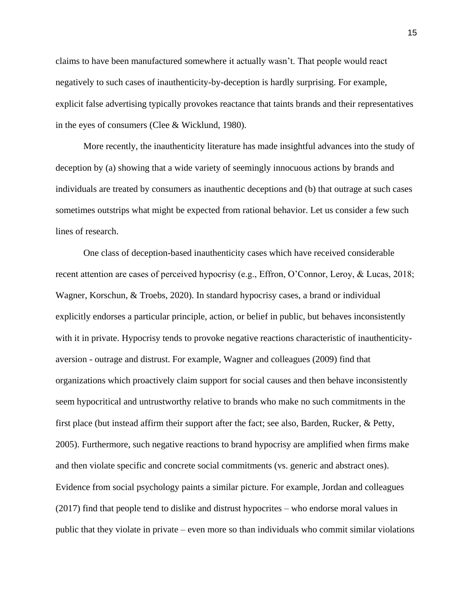claims to have been manufactured somewhere it actually wasn't. That people would react negatively to such cases of inauthenticity-by-deception is hardly surprising. For example, explicit false advertising typically provokes reactance that taints brands and their representatives in the eyes of consumers (Clee & Wicklund, 1980).

More recently, the inauthenticity literature has made insightful advances into the study of deception by (a) showing that a wide variety of seemingly innocuous actions by brands and individuals are treated by consumers as inauthentic deceptions and (b) that outrage at such cases sometimes outstrips what might be expected from rational behavior. Let us consider a few such lines of research.

One class of deception-based inauthenticity cases which have received considerable recent attention are cases of perceived hypocrisy (e.g., Effron, O'Connor, Leroy, & Lucas, 2018; Wagner, Korschun, & Troebs, 2020). In standard hypocrisy cases, a brand or individual explicitly endorses a particular principle, action, or belief in public, but behaves inconsistently with it in private. Hypocrisy tends to provoke negative reactions characteristic of inauthenticityaversion - outrage and distrust. For example, Wagner and colleagues (2009) find that organizations which proactively claim support for social causes and then behave inconsistently seem hypocritical and untrustworthy relative to brands who make no such commitments in the first place (but instead affirm their support after the fact; see also, Barden, Rucker, & Petty, 2005). Furthermore, such negative reactions to brand hypocrisy are amplified when firms make and then violate specific and concrete social commitments (vs. generic and abstract ones). Evidence from social psychology paints a similar picture. For example, Jordan and colleagues (2017) find that people tend to dislike and distrust hypocrites – who endorse moral values in public that they violate in private – even more so than individuals who commit similar violations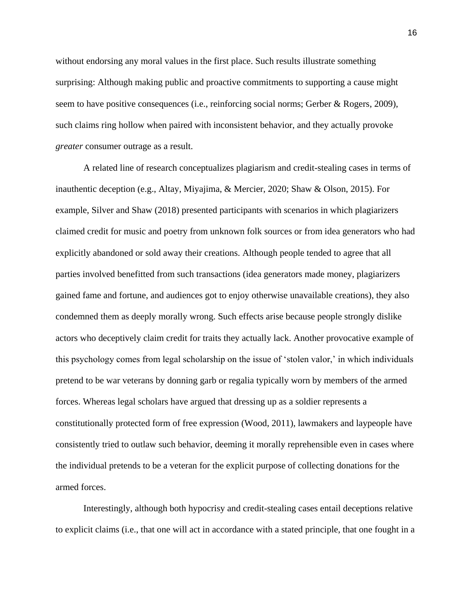without endorsing any moral values in the first place. Such results illustrate something surprising: Although making public and proactive commitments to supporting a cause might seem to have positive consequences (i.e., reinforcing social norms; Gerber & Rogers, 2009), such claims ring hollow when paired with inconsistent behavior, and they actually provoke *greater* consumer outrage as a result.

A related line of research conceptualizes plagiarism and credit-stealing cases in terms of inauthentic deception (e.g., Altay, Miyajima, & Mercier, 2020; Shaw & Olson, 2015). For example, Silver and Shaw (2018) presented participants with scenarios in which plagiarizers claimed credit for music and poetry from unknown folk sources or from idea generators who had explicitly abandoned or sold away their creations. Although people tended to agree that all parties involved benefitted from such transactions (idea generators made money, plagiarizers gained fame and fortune, and audiences got to enjoy otherwise unavailable creations), they also condemned them as deeply morally wrong. Such effects arise because people strongly dislike actors who deceptively claim credit for traits they actually lack. Another provocative example of this psychology comes from legal scholarship on the issue of 'stolen valor,' in which individuals pretend to be war veterans by donning garb or regalia typically worn by members of the armed forces. Whereas legal scholars have argued that dressing up as a soldier represents a constitutionally protected form of free expression (Wood, 2011), lawmakers and laypeople have consistently tried to outlaw such behavior, deeming it morally reprehensible even in cases where the individual pretends to be a veteran for the explicit purpose of collecting donations for the armed forces.

Interestingly, although both hypocrisy and credit-stealing cases entail deceptions relative to explicit claims (i.e., that one will act in accordance with a stated principle, that one fought in a

16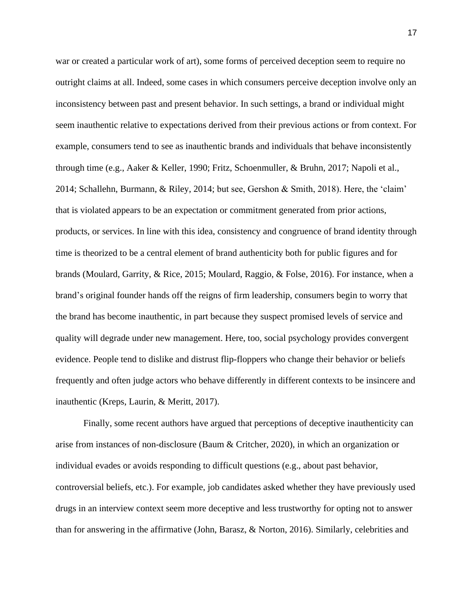war or created a particular work of art), some forms of perceived deception seem to require no outright claims at all. Indeed, some cases in which consumers perceive deception involve only an inconsistency between past and present behavior. In such settings, a brand or individual might seem inauthentic relative to expectations derived from their previous actions or from context. For example, consumers tend to see as inauthentic brands and individuals that behave inconsistently through time (e.g., Aaker & Keller, 1990; Fritz, Schoenmuller, & Bruhn, 2017; Napoli et al., 2014; Schallehn, Burmann, & Riley, 2014; but see, Gershon & Smith, 2018). Here, the 'claim' that is violated appears to be an expectation or commitment generated from prior actions, products, or services. In line with this idea, consistency and congruence of brand identity through time is theorized to be a central element of brand authenticity both for public figures and for brands (Moulard, Garrity, & Rice, 2015; Moulard, Raggio, & Folse, 2016). For instance, when a brand's original founder hands off the reigns of firm leadership, consumers begin to worry that the brand has become inauthentic, in part because they suspect promised levels of service and quality will degrade under new management. Here, too, social psychology provides convergent evidence. People tend to dislike and distrust flip-floppers who change their behavior or beliefs frequently and often judge actors who behave differently in different contexts to be insincere and inauthentic (Kreps, Laurin, & Meritt, 2017).

Finally, some recent authors have argued that perceptions of deceptive inauthenticity can arise from instances of non-disclosure (Baum & Critcher, 2020), in which an organization or individual evades or avoids responding to difficult questions (e.g., about past behavior, controversial beliefs, etc.). For example, job candidates asked whether they have previously used drugs in an interview context seem more deceptive and less trustworthy for opting not to answer than for answering in the affirmative (John, Barasz, & Norton, 2016). Similarly, celebrities and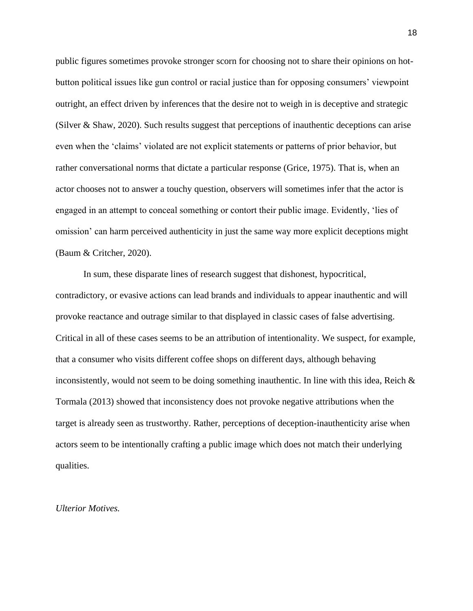public figures sometimes provoke stronger scorn for choosing not to share their opinions on hotbutton political issues like gun control or racial justice than for opposing consumers' viewpoint outright, an effect driven by inferences that the desire not to weigh in is deceptive and strategic (Silver & Shaw, 2020). Such results suggest that perceptions of inauthentic deceptions can arise even when the 'claims' violated are not explicit statements or patterns of prior behavior, but rather conversational norms that dictate a particular response (Grice, 1975). That is, when an actor chooses not to answer a touchy question, observers will sometimes infer that the actor is engaged in an attempt to conceal something or contort their public image. Evidently, 'lies of omission' can harm perceived authenticity in just the same way more explicit deceptions might (Baum & Critcher, 2020).

In sum, these disparate lines of research suggest that dishonest, hypocritical, contradictory, or evasive actions can lead brands and individuals to appear inauthentic and will provoke reactance and outrage similar to that displayed in classic cases of false advertising. Critical in all of these cases seems to be an attribution of intentionality. We suspect, for example, that a consumer who visits different coffee shops on different days, although behaving inconsistently, would not seem to be doing something inauthentic. In line with this idea, Reich  $\&$ Tormala (2013) showed that inconsistency does not provoke negative attributions when the target is already seen as trustworthy. Rather, perceptions of deception-inauthenticity arise when actors seem to be intentionally crafting a public image which does not match their underlying qualities.

#### *Ulterior Motives.*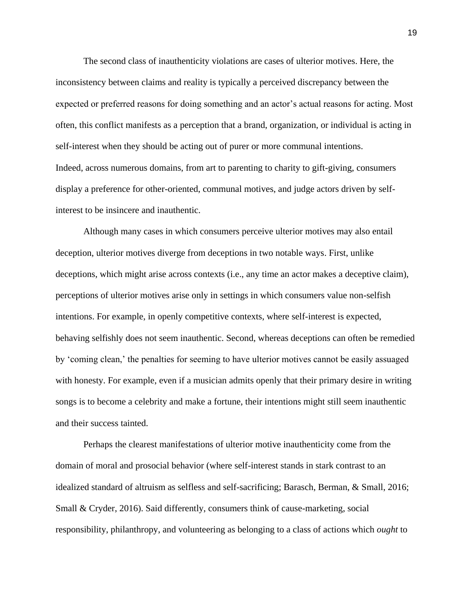The second class of inauthenticity violations are cases of ulterior motives. Here, the inconsistency between claims and reality is typically a perceived discrepancy between the expected or preferred reasons for doing something and an actor's actual reasons for acting. Most often, this conflict manifests as a perception that a brand, organization, or individual is acting in self-interest when they should be acting out of purer or more communal intentions. Indeed, across numerous domains, from art to parenting to charity to gift-giving, consumers display a preference for other-oriented, communal motives, and judge actors driven by selfinterest to be insincere and inauthentic.

Although many cases in which consumers perceive ulterior motives may also entail deception, ulterior motives diverge from deceptions in two notable ways. First, unlike deceptions, which might arise across contexts (i.e., any time an actor makes a deceptive claim), perceptions of ulterior motives arise only in settings in which consumers value non-selfish intentions. For example, in openly competitive contexts, where self-interest is expected, behaving selfishly does not seem inauthentic. Second, whereas deceptions can often be remedied by 'coming clean,' the penalties for seeming to have ulterior motives cannot be easily assuaged with honesty. For example, even if a musician admits openly that their primary desire in writing songs is to become a celebrity and make a fortune, their intentions might still seem inauthentic and their success tainted.

Perhaps the clearest manifestations of ulterior motive inauthenticity come from the domain of moral and prosocial behavior (where self-interest stands in stark contrast to an idealized standard of altruism as selfless and self-sacrificing; Barasch, Berman, & Small, 2016; Small & Cryder, 2016). Said differently, consumers think of cause-marketing, social responsibility, philanthropy, and volunteering as belonging to a class of actions which *ought* to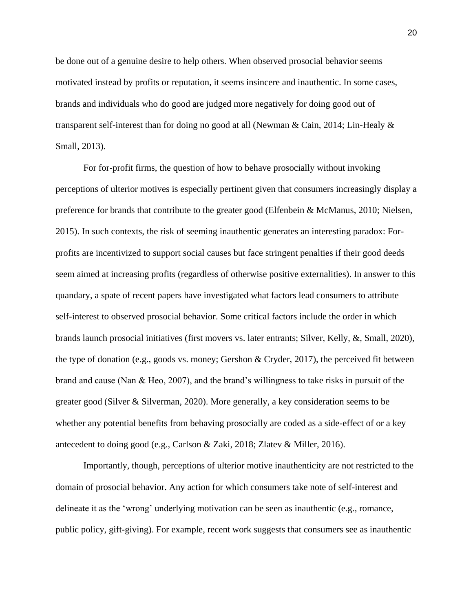be done out of a genuine desire to help others. When observed prosocial behavior seems motivated instead by profits or reputation, it seems insincere and inauthentic. In some cases, brands and individuals who do good are judged more negatively for doing good out of transparent self-interest than for doing no good at all (Newman & Cain, 2014; Lin-Healy & Small, 2013).

For for-profit firms, the question of how to behave prosocially without invoking perceptions of ulterior motives is especially pertinent given that consumers increasingly display a preference for brands that contribute to the greater good (Elfenbein & McManus, 2010; Nielsen, 2015). In such contexts, the risk of seeming inauthentic generates an interesting paradox: Forprofits are incentivized to support social causes but face stringent penalties if their good deeds seem aimed at increasing profits (regardless of otherwise positive externalities). In answer to this quandary, a spate of recent papers have investigated what factors lead consumers to attribute self-interest to observed prosocial behavior. Some critical factors include the order in which brands launch prosocial initiatives (first movers vs. later entrants; Silver, Kelly, &, Small, 2020), the type of donation (e.g., goods vs. money; Gershon & Cryder, 2017), the perceived fit between brand and cause (Nan & Heo, 2007), and the brand's willingness to take risks in pursuit of the greater good (Silver & Silverman, 2020). More generally, a key consideration seems to be whether any potential benefits from behaving prosocially are coded as a side-effect of or a key antecedent to doing good (e.g., Carlson & Zaki, 2018; Zlatev & Miller, 2016).

Importantly, though, perceptions of ulterior motive inauthenticity are not restricted to the domain of prosocial behavior. Any action for which consumers take note of self-interest and delineate it as the 'wrong' underlying motivation can be seen as inauthentic (e.g., romance, public policy, gift-giving). For example, recent work suggests that consumers see as inauthentic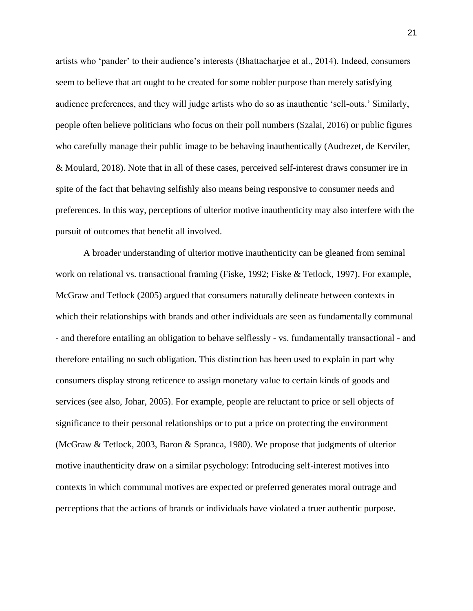artists who 'pander' to their audience's interests (Bhattacharjee et al., 2014). Indeed, consumers seem to believe that art ought to be created for some nobler purpose than merely satisfying audience preferences, and they will judge artists who do so as inauthentic 'sell-outs.' Similarly, people often believe politicians who focus on their poll numbers (Szalai, 2016) or public figures who carefully manage their public image to be behaving inauthentically (Audrezet, de Kerviler, & Moulard, 2018). Note that in all of these cases, perceived self-interest draws consumer ire in spite of the fact that behaving selfishly also means being responsive to consumer needs and preferences. In this way, perceptions of ulterior motive inauthenticity may also interfere with the pursuit of outcomes that benefit all involved.

A broader understanding of ulterior motive inauthenticity can be gleaned from seminal work on relational vs. transactional framing (Fiske, 1992; Fiske & Tetlock, 1997). For example, McGraw and Tetlock (2005) argued that consumers naturally delineate between contexts in which their relationships with brands and other individuals are seen as fundamentally communal - and therefore entailing an obligation to behave selflessly - vs. fundamentally transactional - and therefore entailing no such obligation. This distinction has been used to explain in part why consumers display strong reticence to assign monetary value to certain kinds of goods and services (see also, Johar, 2005). For example, people are reluctant to price or sell objects of significance to their personal relationships or to put a price on protecting the environment (McGraw & Tetlock, 2003, Baron & Spranca, 1980). We propose that judgments of ulterior motive inauthenticity draw on a similar psychology: Introducing self-interest motives into contexts in which communal motives are expected or preferred generates moral outrage and perceptions that the actions of brands or individuals have violated a truer authentic purpose.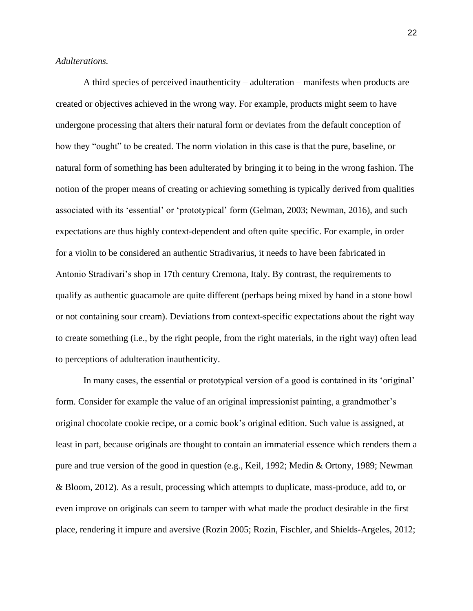## *Adulterations.*

A third species of perceived inauthenticity – adulteration – manifests when products are created or objectives achieved in the wrong way. For example, products might seem to have undergone processing that alters their natural form or deviates from the default conception of how they "ought" to be created. The norm violation in this case is that the pure, baseline, or natural form of something has been adulterated by bringing it to being in the wrong fashion. The notion of the proper means of creating or achieving something is typically derived from qualities associated with its 'essential' or 'prototypical' form (Gelman, 2003; Newman, 2016), and such expectations are thus highly context-dependent and often quite specific. For example, in order for a violin to be considered an authentic Stradivarius, it needs to have been fabricated in Antonio Stradivari's shop in 17th century Cremona, Italy. By contrast, the requirements to qualify as authentic guacamole are quite different (perhaps being mixed by hand in a stone bowl or not containing sour cream). Deviations from context-specific expectations about the right way to create something (i.e., by the right people, from the right materials, in the right way) often lead to perceptions of adulteration inauthenticity.

In many cases, the essential or prototypical version of a good is contained in its 'original' form. Consider for example the value of an original impressionist painting, a grandmother's original chocolate cookie recipe, or a comic book's original edition. Such value is assigned, at least in part, because originals are thought to contain an immaterial essence which renders them a pure and true version of the good in question (e.g., Keil, 1992; Medin & Ortony, 1989; Newman & Bloom, 2012). As a result, processing which attempts to duplicate, mass-produce, add to, or even improve on originals can seem to tamper with what made the product desirable in the first place, rendering it impure and aversive (Rozin 2005; Rozin, Fischler, and Shields-Argeles, 2012;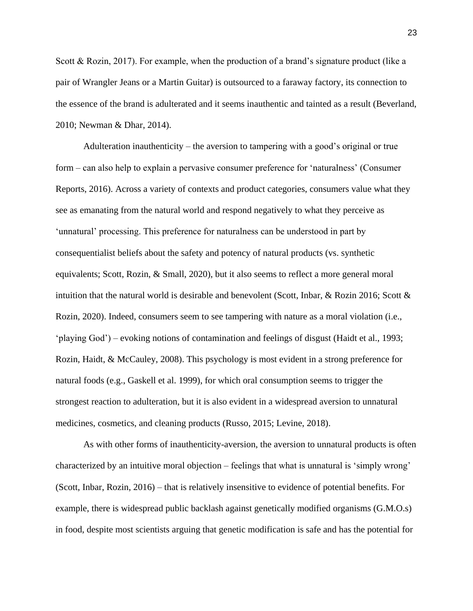Scott & Rozin, 2017). For example, when the production of a brand's signature product (like a pair of Wrangler Jeans or a Martin Guitar) is outsourced to a faraway factory, its connection to the essence of the brand is adulterated and it seems inauthentic and tainted as a result (Beverland, 2010; Newman & Dhar, 2014).

Adulteration inauthenticity – the aversion to tampering with a good's original or true form – can also help to explain a pervasive consumer preference for 'naturalness' (Consumer Reports, 2016). Across a variety of contexts and product categories, consumers value what they see as emanating from the natural world and respond negatively to what they perceive as 'unnatural' processing. This preference for naturalness can be understood in part by consequentialist beliefs about the safety and potency of natural products (vs. synthetic equivalents; Scott, Rozin, & Small, 2020), but it also seems to reflect a more general moral intuition that the natural world is desirable and benevolent (Scott, Inbar, & Rozin 2016; Scott  $\&$ Rozin, 2020). Indeed, consumers seem to see tampering with nature as a moral violation (i.e., 'playing God') – evoking notions of contamination and feelings of disgust (Haidt et al., 1993; Rozin, Haidt, & McCauley, 2008). This psychology is most evident in a strong preference for natural foods (e.g., Gaskell et al. 1999), for which oral consumption seems to trigger the strongest reaction to adulteration, but it is also evident in a widespread aversion to unnatural medicines, cosmetics, and cleaning products (Russo, 2015; Levine, 2018).

As with other forms of inauthenticity-aversion, the aversion to unnatural products is often characterized by an intuitive moral objection – feelings that what is unnatural is 'simply wrong' (Scott, Inbar, Rozin, 2016) – that is relatively insensitive to evidence of potential benefits. For example, there is widespread public backlash against genetically modified organisms (G.M.O.s) in food, despite most scientists arguing that genetic modification is safe and has the potential for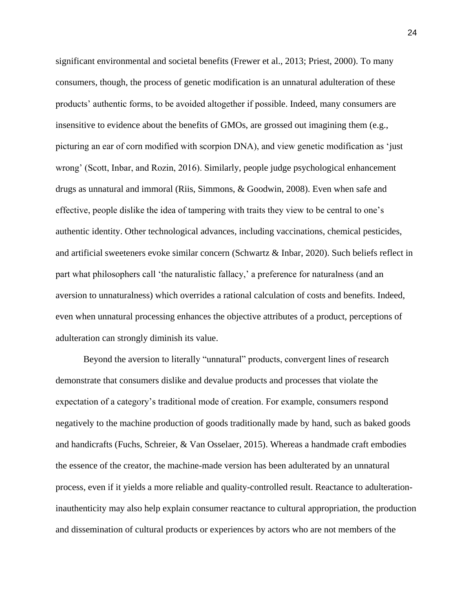significant environmental and societal benefits (Frewer et al., 2013; Priest, 2000). To many consumers, though, the process of genetic modification is an unnatural adulteration of these products' authentic forms, to be avoided altogether if possible. Indeed, many consumers are insensitive to evidence about the benefits of GMOs, are grossed out imagining them (e.g., picturing an ear of corn modified with scorpion DNA), and view genetic modification as 'just wrong' (Scott, Inbar, and Rozin, 2016). Similarly, people judge psychological enhancement drugs as unnatural and immoral (Riis, Simmons, & Goodwin, 2008). Even when safe and effective, people dislike the idea of tampering with traits they view to be central to one's authentic identity. Other technological advances, including vaccinations, chemical pesticides, and artificial sweeteners evoke similar concern (Schwartz & Inbar, 2020). Such beliefs reflect in part what philosophers call 'the naturalistic fallacy,' a preference for naturalness (and an aversion to unnaturalness) which overrides a rational calculation of costs and benefits. Indeed, even when unnatural processing enhances the objective attributes of a product, perceptions of adulteration can strongly diminish its value.

Beyond the aversion to literally "unnatural" products, convergent lines of research demonstrate that consumers dislike and devalue products and processes that violate the expectation of a category's traditional mode of creation. For example, consumers respond negatively to the machine production of goods traditionally made by hand, such as baked goods and handicrafts (Fuchs, Schreier, & Van Osselaer, 2015). Whereas a handmade craft embodies the essence of the creator, the machine-made version has been adulterated by an unnatural process, even if it yields a more reliable and quality-controlled result. Reactance to adulterationinauthenticity may also help explain consumer reactance to cultural appropriation, the production and dissemination of cultural products or experiences by actors who are not members of the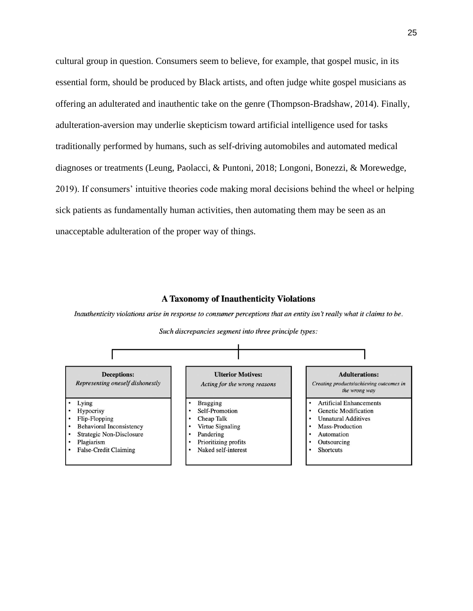cultural group in question. Consumers seem to believe, for example, that gospel music, in its essential form, should be produced by Black artists, and often judge white gospel musicians as offering an adulterated and inauthentic take on the genre (Thompson-Bradshaw, 2014). Finally, adulteration-aversion may underlie skepticism toward artificial intelligence used for tasks traditionally performed by humans, such as self-driving automobiles and automated medical diagnoses or treatments (Leung, Paolacci, & Puntoni, 2018; Longoni, Bonezzi, & Morewedge, 2019). If consumers' intuitive theories code making moral decisions behind the wheel or helping sick patients as fundamentally human activities, then automating them may be seen as an unacceptable adulteration of the proper way of things.

## **A Taxonomy of Inauthenticity Violations**

Inauthenticity violations arise in response to consumer perceptions that an entity isn't really what it claims to be.



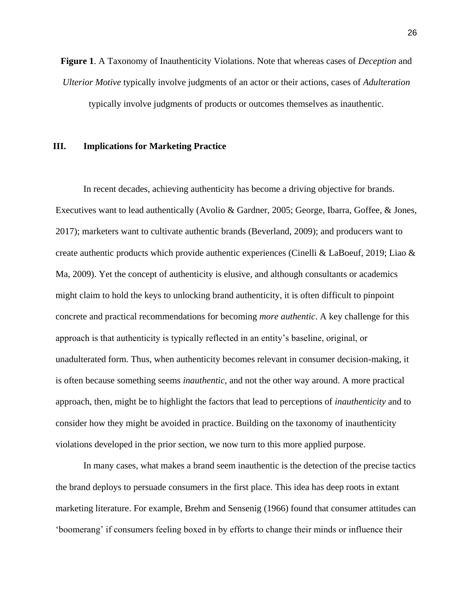**Figure 1**. A Taxonomy of Inauthenticity Violations. Note that whereas cases of *Deception* and *Ulterior Motive* typically involve judgments of an actor or their actions, cases of *Adulteration* typically involve judgments of products or outcomes themselves as inauthentic.

## **III. Implications for Marketing Practice**

In recent decades, achieving authenticity has become a driving objective for brands. Executives want to lead authentically (Avolio & Gardner, 2005; George, Ibarra, Goffee, & Jones, 2017); marketers want to cultivate authentic brands (Beverland, 2009); and producers want to create authentic products which provide authentic experiences (Cinelli & LaBoeuf, 2019; Liao & Ma, 2009). Yet the concept of authenticity is elusive, and although consultants or academics might claim to hold the keys to unlocking brand authenticity, it is often difficult to pinpoint concrete and practical recommendations for becoming *more authentic*. A key challenge for this approach is that authenticity is typically reflected in an entity's baseline, original, or unadulterated form. Thus, when authenticity becomes relevant in consumer decision-making, it is often because something seems *inauthentic*, and not the other way around. A more practical approach, then, might be to highlight the factors that lead to perceptions of *inauthenticity* and to consider how they might be avoided in practice. Building on the taxonomy of inauthenticity violations developed in the prior section, we now turn to this more applied purpose.

In many cases, what makes a brand seem inauthentic is the detection of the precise tactics the brand deploys to persuade consumers in the first place. This idea has deep roots in extant marketing literature. For example, Brehm and Sensenig (1966) found that consumer attitudes can 'boomerang' if consumers feeling boxed in by efforts to change their minds or influence their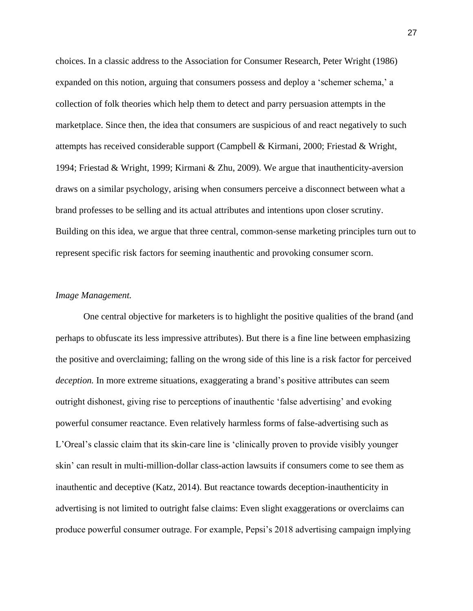choices. In a classic address to the Association for Consumer Research, Peter Wright (1986) expanded on this notion, arguing that consumers possess and deploy a 'schemer schema,' a collection of folk theories which help them to detect and parry persuasion attempts in the marketplace. Since then, the idea that consumers are suspicious of and react negatively to such attempts has received considerable support (Campbell & Kirmani, 2000; Friestad & Wright, 1994; Friestad & Wright, 1999; Kirmani & Zhu, 2009). We argue that inauthenticity-aversion draws on a similar psychology, arising when consumers perceive a disconnect between what a brand professes to be selling and its actual attributes and intentions upon closer scrutiny. Building on this idea, we argue that three central, common-sense marketing principles turn out to represent specific risk factors for seeming inauthentic and provoking consumer scorn.

## *Image Management.*

One central objective for marketers is to highlight the positive qualities of the brand (and perhaps to obfuscate its less impressive attributes). But there is a fine line between emphasizing the positive and overclaiming; falling on the wrong side of this line is a risk factor for perceived *deception.* In more extreme situations, exaggerating a brand's positive attributes can seem outright dishonest, giving rise to perceptions of inauthentic 'false advertising' and evoking powerful consumer reactance. Even relatively harmless forms of false-advertising such as L'Oreal's classic claim that its skin-care line is 'clinically proven to provide visibly younger skin' can result in multi-million-dollar class-action lawsuits if consumers come to see them as inauthentic and deceptive (Katz, 2014). But reactance towards deception-inauthenticity in advertising is not limited to outright false claims: Even slight exaggerations or overclaims can produce powerful consumer outrage. For example, Pepsi's 2018 advertising campaign implying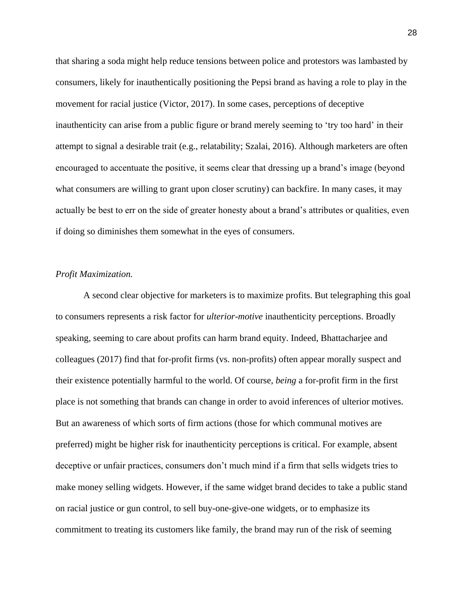that sharing a soda might help reduce tensions between police and protestors was lambasted by consumers, likely for inauthentically positioning the Pepsi brand as having a role to play in the movement for racial justice (Victor, 2017). In some cases, perceptions of deceptive inauthenticity can arise from a public figure or brand merely seeming to 'try too hard' in their attempt to signal a desirable trait (e.g., relatability; Szalai, 2016). Although marketers are often encouraged to accentuate the positive, it seems clear that dressing up a brand's image (beyond what consumers are willing to grant upon closer scrutiny) can backfire. In many cases, it may actually be best to err on the side of greater honesty about a brand's attributes or qualities, even if doing so diminishes them somewhat in the eyes of consumers.

#### *Profit Maximization.*

A second clear objective for marketers is to maximize profits. But telegraphing this goal to consumers represents a risk factor for *ulterior-motive* inauthenticity perceptions. Broadly speaking, seeming to care about profits can harm brand equity. Indeed, Bhattacharjee and colleagues (2017) find that for-profit firms (vs. non-profits) often appear morally suspect and their existence potentially harmful to the world. Of course, *being* a for-profit firm in the first place is not something that brands can change in order to avoid inferences of ulterior motives. But an awareness of which sorts of firm actions (those for which communal motives are preferred) might be higher risk for inauthenticity perceptions is critical. For example, absent deceptive or unfair practices, consumers don't much mind if a firm that sells widgets tries to make money selling widgets. However, if the same widget brand decides to take a public stand on racial justice or gun control, to sell buy-one-give-one widgets, or to emphasize its commitment to treating its customers like family, the brand may run of the risk of seeming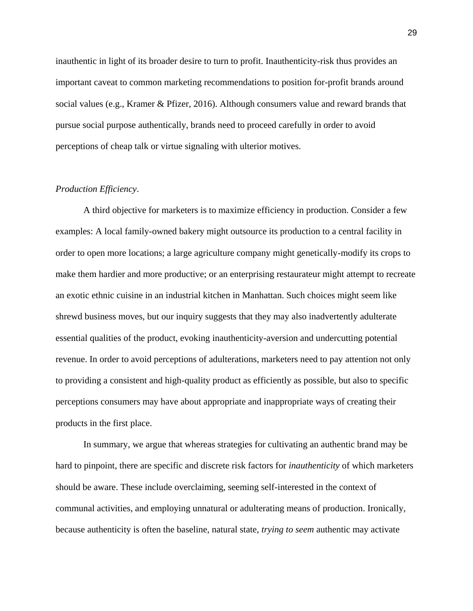inauthentic in light of its broader desire to turn to profit. Inauthenticity-risk thus provides an important caveat to common marketing recommendations to position for-profit brands around social values (e.g., Kramer & Pfizer, 2016). Although consumers value and reward brands that pursue social purpose authentically, brands need to proceed carefully in order to avoid perceptions of cheap talk or virtue signaling with ulterior motives.

### *Production Efficiency*.

A third objective for marketers is to maximize efficiency in production. Consider a few examples: A local family-owned bakery might outsource its production to a central facility in order to open more locations; a large agriculture company might genetically-modify its crops to make them hardier and more productive; or an enterprising restaurateur might attempt to recreate an exotic ethnic cuisine in an industrial kitchen in Manhattan. Such choices might seem like shrewd business moves, but our inquiry suggests that they may also inadvertently adulterate essential qualities of the product, evoking inauthenticity-aversion and undercutting potential revenue. In order to avoid perceptions of adulterations, marketers need to pay attention not only to providing a consistent and high-quality product as efficiently as possible, but also to specific perceptions consumers may have about appropriate and inappropriate ways of creating their products in the first place.

In summary, we argue that whereas strategies for cultivating an authentic brand may be hard to pinpoint, there are specific and discrete risk factors for *inauthenticity* of which marketers should be aware. These include overclaiming, seeming self-interested in the context of communal activities, and employing unnatural or adulterating means of production. Ironically, because authenticity is often the baseline, natural state, *trying to seem* authentic may activate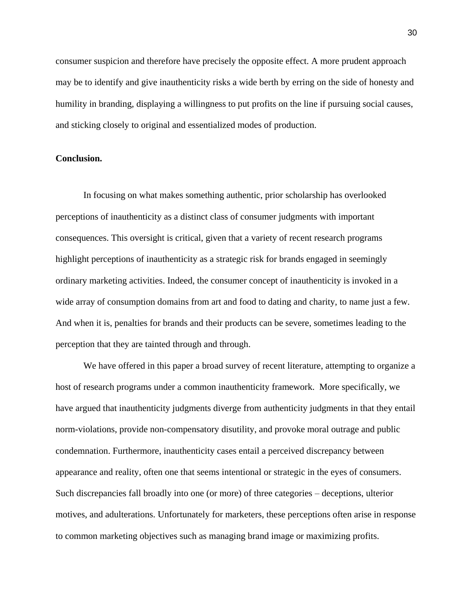consumer suspicion and therefore have precisely the opposite effect. A more prudent approach may be to identify and give inauthenticity risks a wide berth by erring on the side of honesty and humility in branding, displaying a willingness to put profits on the line if pursuing social causes, and sticking closely to original and essentialized modes of production.

## **Conclusion.**

In focusing on what makes something authentic, prior scholarship has overlooked perceptions of inauthenticity as a distinct class of consumer judgments with important consequences. This oversight is critical, given that a variety of recent research programs highlight perceptions of inauthenticity as a strategic risk for brands engaged in seemingly ordinary marketing activities. Indeed, the consumer concept of inauthenticity is invoked in a wide array of consumption domains from art and food to dating and charity, to name just a few. And when it is, penalties for brands and their products can be severe, sometimes leading to the perception that they are tainted through and through.

We have offered in this paper a broad survey of recent literature, attempting to organize a host of research programs under a common inauthenticity framework. More specifically, we have argued that inauthenticity judgments diverge from authenticity judgments in that they entail norm-violations, provide non-compensatory disutility, and provoke moral outrage and public condemnation. Furthermore, inauthenticity cases entail a perceived discrepancy between appearance and reality, often one that seems intentional or strategic in the eyes of consumers. Such discrepancies fall broadly into one (or more) of three categories – deceptions, ulterior motives, and adulterations. Unfortunately for marketers, these perceptions often arise in response to common marketing objectives such as managing brand image or maximizing profits.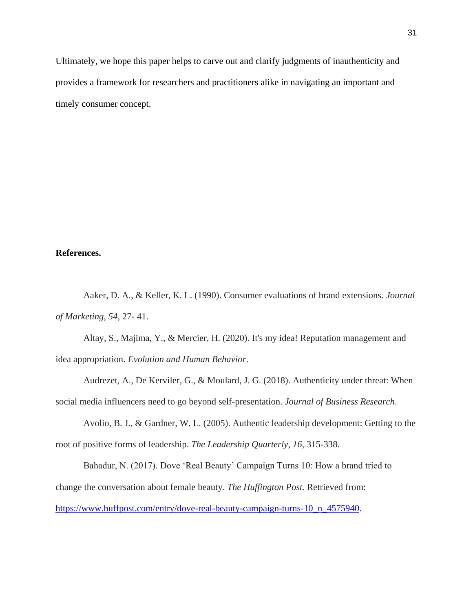Ultimately, we hope this paper helps to carve out and clarify judgments of inauthenticity and provides a framework for researchers and practitioners alike in navigating an important and timely consumer concept.

## **References.**

Aaker, D. A., & Keller, K. L. (1990). Consumer evaluations of brand extensions. *Journal of Marketing*, *54*, 27- 41.

Altay, S., Majima, Y., & Mercier, H. (2020). It's my idea! Reputation management and idea appropriation. *Evolution and Human Behavior*.

Audrezet, A., De Kerviler, G., & Moulard, J. G. (2018). Authenticity under threat: When social media influencers need to go beyond self-presentation. *Journal of Business Research*.

Avolio, B. J., & Gardner, W. L. (2005). Authentic leadership development: Getting to the root of positive forms of leadership. *The Leadership Quarterly*, *16*, 315-338.

Bahadur, N. (2017). Dove 'Real Beauty' Campaign Turns 10: How a brand tried to change the conversation about female beauty. *The Huffington Post.* Retrieved from: [https://www.huffpost.com/entry/dove-real-beauty-campaign-turns-10\\_n\\_4575940.](https://www.huffpost.com/entry/dove-real-beauty-campaign-turns-10_n_4575940)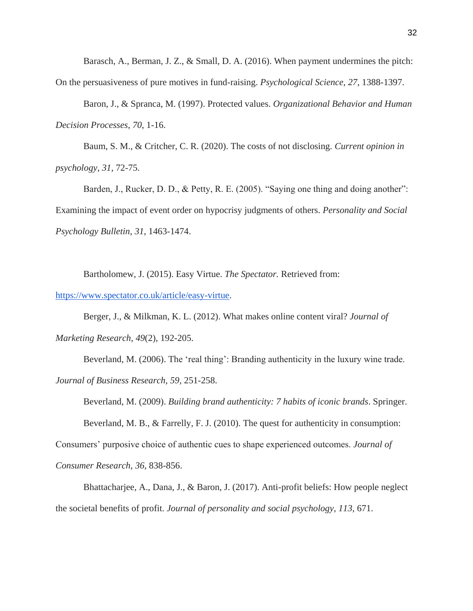Barasch, A., Berman, J. Z., & Small, D. A. (2016). When payment undermines the pitch: On the persuasiveness of pure motives in fund-raising. *Psychological Science*, *27*, 1388-1397.

Baron, J., & Spranca, M. (1997). Protected values. *Organizational Behavior and Human Decision Processes*, *70*, 1-16.

Baum, S. M., & Critcher, C. R. (2020). The costs of not disclosing. *Current opinion in psychology*, *31*, 72-75.

Barden, J., Rucker, D. D., & Petty, R. E. (2005). "Saying one thing and doing another": Examining the impact of event order on hypocrisy judgments of others. *Personality and Social Psychology Bulletin*, *31*, 1463-1474.

Bartholomew, J. (2015). Easy Virtue. *The Spectator.* Retrieved from:

[https://www.spectator.co.uk/article/easy-virtue.](https://www.spectator.co.uk/article/easy-virtue)

Berger, J., & Milkman, K. L. (2012). What makes online content viral? *Journal of Marketing Research*, *49*(2), 192-205.

Beverland, M. (2006). The 'real thing': Branding authenticity in the luxury wine trade. *Journal of Business Research*, *59*, 251-258.

Beverland, M. (2009). *Building brand authenticity: 7 habits of iconic brands*. Springer. Beverland, M. B., & Farrelly, F. J. (2010). The quest for authenticity in consumption: Consumers' purposive choice of authentic cues to shape experienced outcomes. *Journal of* 

*Consumer Research*, *36*, 838-856.

Bhattacharjee, A., Dana, J., & Baron, J. (2017). Anti-profit beliefs: How people neglect the societal benefits of profit. *Journal of personality and social psychology*, *113*, 671.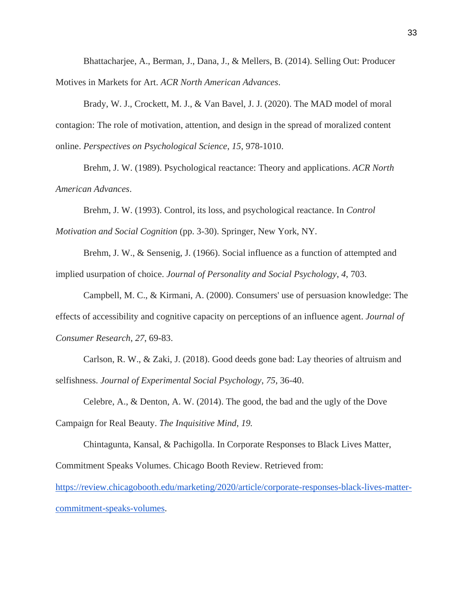Bhattacharjee, A., Berman, J., Dana, J., & Mellers, B. (2014). Selling Out: Producer Motives in Markets for Art. *ACR North American Advances*.

Brady, W. J., Crockett, M. J., & Van Bavel, J. J. (2020). The MAD model of moral contagion: The role of motivation, attention, and design in the spread of moralized content online. *Perspectives on Psychological Science*, *15*, 978-1010.

Brehm, J. W. (1989). Psychological reactance: Theory and applications. *ACR North American Advances*.

Brehm, J. W. (1993). Control, its loss, and psychological reactance. In *Control Motivation and Social Cognition* (pp. 3-30). Springer, New York, NY.

Brehm, J. W., & Sensenig, J. (1966). Social influence as a function of attempted and implied usurpation of choice. *Journal of Personality and Social Psychology*, *4*, 703.

Campbell, M. C., & Kirmani, A. (2000). Consumers' use of persuasion knowledge: The effects of accessibility and cognitive capacity on perceptions of an influence agent. *Journal of Consumer Research*, *27*, 69-83.

Carlson, R. W., & Zaki, J. (2018). Good deeds gone bad: Lay theories of altruism and selfishness. *Journal of Experimental Social Psychology*, *75*, 36-40.

Celebre, A., & Denton, A. W. (2014). The good, the bad and the ugly of the Dove Campaign for Real Beauty. *The Inquisitive Mind*, *19.*

Chintagunta, Kansal, & Pachigolla. In Corporate Responses to Black Lives Matter, Commitment Speaks Volumes. Chicago Booth Review. Retrieved from:

[https://review.chicagobooth.edu/marketing/2020/article/corporate-responses-black-lives-matter](https://review.chicagobooth.edu/marketing/2020/article/corporate-responses-black-lives-matter-commitment-speaks-volumes)[commitment-speaks-volumes.](https://review.chicagobooth.edu/marketing/2020/article/corporate-responses-black-lives-matter-commitment-speaks-volumes)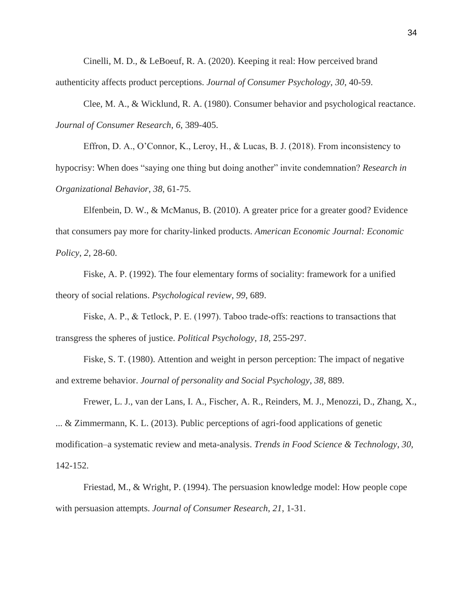Cinelli, M. D., & LeBoeuf, R. A. (2020). Keeping it real: How perceived brand authenticity affects product perceptions. *Journal of Consumer Psychology*, *30*, 40-59.

Clee, M. A., & Wicklund, R. A. (1980). Consumer behavior and psychological reactance. *Journal of Consumer Research*, *6*, 389-405.

Effron, D. A., O'Connor, K., Leroy, H., & Lucas, B. J. (2018). From inconsistency to hypocrisy: When does "saying one thing but doing another" invite condemnation? *Research in Organizational Behavior*, *38*, 61-75.

Elfenbein, D. W., & McManus, B. (2010). A greater price for a greater good? Evidence that consumers pay more for charity-linked products. *American Economic Journal: Economic Policy*, *2*, 28-60.

Fiske, A. P. (1992). The four elementary forms of sociality: framework for a unified theory of social relations. *Psychological review*, *99*, 689.

Fiske, A. P., & Tetlock, P. E. (1997). Taboo trade-offs: reactions to transactions that transgress the spheres of justice. *Political Psychology*, *18*, 255-297.

Fiske, S. T. (1980). Attention and weight in person perception: The impact of negative and extreme behavior. *Journal of personality and Social Psychology*, *38*, 889.

Frewer, L. J., van der Lans, I. A., Fischer, A. R., Reinders, M. J., Menozzi, D., Zhang, X., ... & Zimmermann, K. L. (2013). Public perceptions of agri-food applications of genetic modification–a systematic review and meta-analysis. *Trends in Food Science & Technology*, *30*, 142-152.

Friestad, M., & Wright, P. (1994). The persuasion knowledge model: How people cope with persuasion attempts. *Journal of Consumer Research*, *21*, 1-31.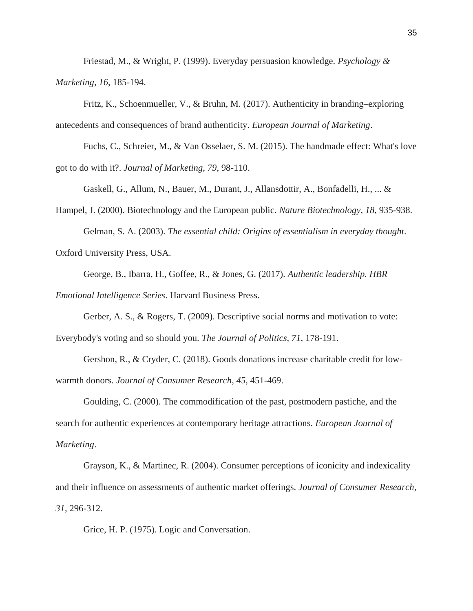Friestad, M., & Wright, P. (1999). Everyday persuasion knowledge. *Psychology & Marketing*, *16*, 185-194.

Fritz, K., Schoenmueller, V., & Bruhn, M. (2017). Authenticity in branding–exploring antecedents and consequences of brand authenticity. *European Journal of Marketing*.

Fuchs, C., Schreier, M., & Van Osselaer, S. M. (2015). The handmade effect: What's love got to do with it?. *Journal of Marketing*, *79*, 98-110.

Gaskell, G., Allum, N., Bauer, M., Durant, J., Allansdottir, A., Bonfadelli, H., ... &

Hampel, J. (2000). Biotechnology and the European public. *Nature Biotechnology*, *18*, 935-938. Gelman, S. A. (2003). *The essential child: Origins of essentialism in everyday thought*.

Oxford University Press, USA.

George, B., Ibarra, H., Goffee, R., & Jones, G. (2017). *Authentic leadership. HBR Emotional Intelligence Series*. Harvard Business Press.

Gerber, A. S., & Rogers, T. (2009). Descriptive social norms and motivation to vote: Everybody's voting and so should you. *The Journal of Politics*, *71*, 178-191.

Gershon, R., & Cryder, C. (2018). Goods donations increase charitable credit for lowwarmth donors. *Journal of Consumer Research*, *45*, 451-469.

Goulding, C. (2000). The commodification of the past, postmodern pastiche, and the search for authentic experiences at contemporary heritage attractions. *European Journal of Marketing*.

Grayson, K., & Martinec, R. (2004). Consumer perceptions of iconicity and indexicality and their influence on assessments of authentic market offerings. *Journal of Consumer Research*, *31*, 296-312.

Grice, H. P. (1975). Logic and Conversation.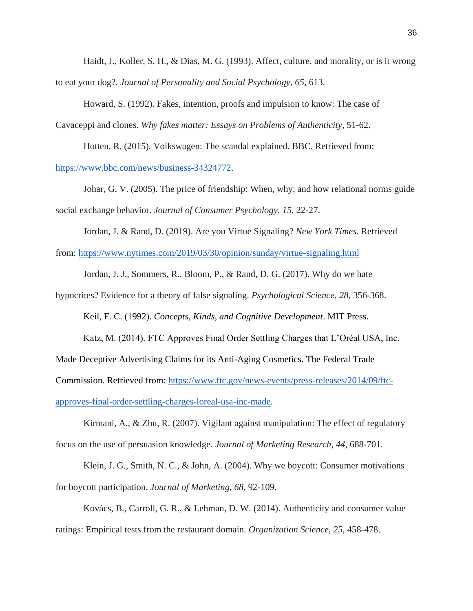Haidt, J., Koller, S. H., & Dias, M. G. (1993). Affect, culture, and morality, or is it wrong to eat your dog?. *Journal of Personality and Social Psychology*, *65*, 613.

Howard, S. (1992). Fakes, intention, proofs and impulsion to know: The case of

Cavaceppi and clones. *Why fakes matter: Essays on Problems of Authenticity*, 51-62.

Hotten, R. (2015). Volkswagen: The scandal explained. BBC. Retrieved from:

[https://www.bbc.com/news/business-34324772.](https://www.bbc.com/news/business-34324772)

Johar, G. V. (2005). The price of friendship: When, why, and how relational norms guide social exchange behavior. *Journal of Consumer Psychology*, *15*, 22-27.

Jordan, J. & Rand, D. (2019). Are you Virtue Signaling? *New York Times.* Retrieved from:<https://www.nytimes.com/2019/03/30/opinion/sunday/virtue-signaling.html>

Jordan, J. J., Sommers, R., Bloom, P., & Rand, D. G. (2017). Why do we hate

hypocrites? Evidence for a theory of false signaling. *Psychological Science*, *28*, 356-368.

Keil, F. C. (1992). *Concepts, Kinds, and Cognitive Development*. MIT Press.

Katz, M. (2014). FTC Approves Final Order Settling Charges that L'Oréal USA, Inc.

Made Deceptive Advertising Claims for its Anti-Aging Cosmetics. The Federal Trade

Commission. Retrieved from: [https://www.ftc.gov/news-events/press-releases/2014/09/ftc-](https://www.ftc.gov/news-events/press-releases/2014/09/ftc-approves-final-order-settling-charges-loreal-usa-inc-made)

[approves-final-order-settling-charges-loreal-usa-inc-made.](https://www.ftc.gov/news-events/press-releases/2014/09/ftc-approves-final-order-settling-charges-loreal-usa-inc-made)

Kirmani, A., & Zhu, R. (2007). Vigilant against manipulation: The effect of regulatory focus on the use of persuasion knowledge. *Journal of Marketing Research*, *44*, 688-701.

Klein, J. G., Smith, N. C., & John, A. (2004). Why we boycott: Consumer motivations for boycott participation. *Journal of Marketing*, *68*, 92-109.

Kovács, B., Carroll, G. R., & Lehman, D. W. (2014). Authenticity and consumer value ratings: Empirical tests from the restaurant domain. *Organization Science*, *25*, 458-478.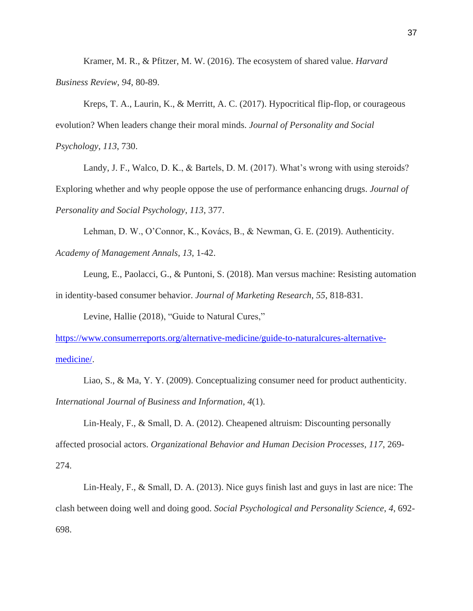Kramer, M. R., & Pfitzer, M. W. (2016). The ecosystem of shared value. *Harvard Business Review*, *94*, 80-89.

Kreps, T. A., Laurin, K., & Merritt, A. C. (2017). Hypocritical flip-flop, or courageous evolution? When leaders change their moral minds. *Journal of Personality and Social Psychology*, *113*, 730.

Landy, J. F., Walco, D. K., & Bartels, D. M. (2017). What's wrong with using steroids? Exploring whether and why people oppose the use of performance enhancing drugs. *Journal of Personality and Social Psychology*, *113*, 377.

Lehman, D. W., O'Connor, K., Kovács, B., & Newman, G. E. (2019). Authenticity.

*Academy of Management Annals*, *13*, 1-42.

Leung, E., Paolacci, G., & Puntoni, S. (2018). Man versus machine: Resisting automation in identity-based consumer behavior. *Journal of Marketing Research*, *55*, 818-831.

Levine, Hallie (2018), "Guide to Natural Cures,"

[https://www.consumerreports.org/alternative-medicine/guide-to-naturalcures-alternative](https://www.consumerreports.org/alternative-medicine/guide-to-naturalcures-alternative-medicine/)[medicine/.](https://www.consumerreports.org/alternative-medicine/guide-to-naturalcures-alternative-medicine/)

Liao, S., & Ma, Y. Y. (2009). Conceptualizing consumer need for product authenticity. *International Journal of Business and Information*, *4*(1).

Lin-Healy, F., & Small, D. A. (2012). Cheapened altruism: Discounting personally affected prosocial actors. *Organizational Behavior and Human Decision Processes*, *117*, 269- 274.

Lin-Healy, F., & Small, D. A. (2013). Nice guys finish last and guys in last are nice: The clash between doing well and doing good. *Social Psychological and Personality Science*, *4*, 692- 698.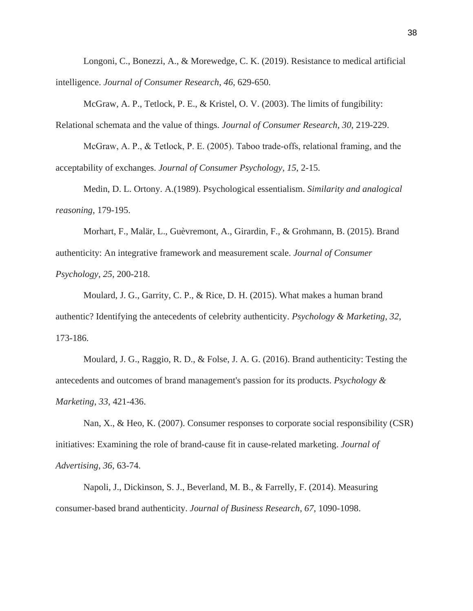Longoni, C., Bonezzi, A., & Morewedge, C. K. (2019). Resistance to medical artificial intelligence. *Journal of Consumer Research*, *46*, 629-650.

McGraw, A. P., Tetlock, P. E., & Kristel, O. V. (2003). The limits of fungibility: Relational schemata and the value of things. *Journal of Consumer Research*, *30*, 219-229.

McGraw, A. P., & Tetlock, P. E. (2005). Taboo trade‐offs, relational framing, and the acceptability of exchanges. *Journal of Consumer Psychology*, *15*, 2-15.

Medin, D. L. Ortony. A.(1989). Psychological essentialism. *Similarity and analogical reasoning*, 179-195.

Morhart, F., Malär, L., Guèvremont, A., Girardin, F., & Grohmann, B. (2015). Brand authenticity: An integrative framework and measurement scale. *Journal of Consumer Psychology*, *25*, 200-218.

Moulard, J. G., Garrity, C. P., & Rice, D. H. (2015). What makes a human brand authentic? Identifying the antecedents of celebrity authenticity. *Psychology & Marketing*, *32*, 173-186.

Moulard, J. G., Raggio, R. D., & Folse, J. A. G. (2016). Brand authenticity: Testing the antecedents and outcomes of brand management's passion for its products. *Psychology & Marketing*, *33*, 421-436.

Nan, X., & Heo, K. (2007). Consumer responses to corporate social responsibility (CSR) initiatives: Examining the role of brand-cause fit in cause-related marketing. *Journal of Advertising*, *36*, 63-74.

Napoli, J., Dickinson, S. J., Beverland, M. B., & Farrelly, F. (2014). Measuring consumer-based brand authenticity. *Journal of Business Research*, *67*, 1090-1098.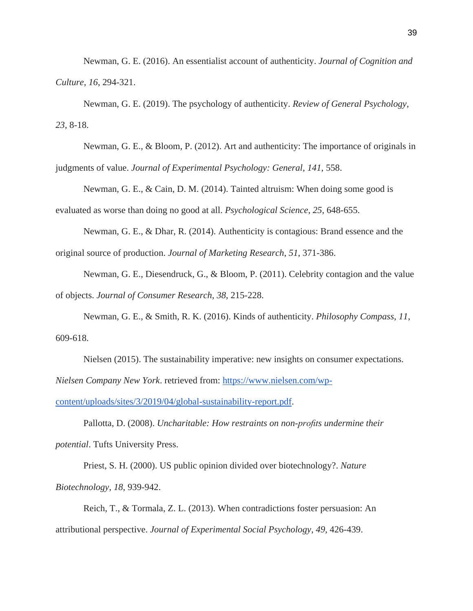Newman, G. E. (2016). An essentialist account of authenticity. *Journal of Cognition and Culture*, *16*, 294-321.

Newman, G. E. (2019). The psychology of authenticity. *Review of General Psychology*, *23*, 8-18.

Newman, G. E., & Bloom, P. (2012). Art and authenticity: The importance of originals in judgments of value. *Journal of Experimental Psychology: General*, *141*, 558.

Newman, G. E., & Cain, D. M. (2014). Tainted altruism: When doing some good is evaluated as worse than doing no good at all. *Psychological Science*, *25*, 648-655.

Newman, G. E., & Dhar, R. (2014). Authenticity is contagious: Brand essence and the original source of production. *Journal of Marketing Research*, *51*, 371-386.

Newman, G. E., Diesendruck, G., & Bloom, P. (2011). Celebrity contagion and the value of objects. *Journal of Consumer Research*, *38*, 215-228.

Newman, G. E., & Smith, R. K. (2016). Kinds of authenticity. *Philosophy Compass*, *11*, 609-618.

Nielsen (2015). The sustainability imperative: new insights on consumer expectations. *Nielsen Company New York*. retrieved from: [https://www.nielsen.com/wp-](https://www.nielsen.com/wp-content/uploads/sites/3/2019/04/global-sustainability-report.pdf)

[content/uploads/sites/3/2019/04/global-sustainability-report.pdf.](https://www.nielsen.com/wp-content/uploads/sites/3/2019/04/global-sustainability-report.pdf)

Pallotta, D. (2008). *Uncharitable: How restraints on non-profits undermine their potential*. Tufts University Press.

Priest, S. H. (2000). US public opinion divided over biotechnology?. *Nature Biotechnology*, *18*, 939-942.

Reich, T., & Tormala, Z. L. (2013). When contradictions foster persuasion: An attributional perspective. *Journal of Experimental Social Psychology*, *49*, 426-439.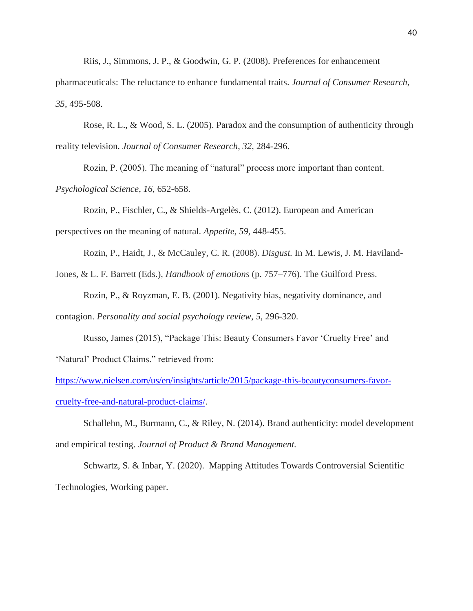Riis, J., Simmons, J. P., & Goodwin, G. P. (2008). Preferences for enhancement

pharmaceuticals: The reluctance to enhance fundamental traits. *Journal of Consumer Research*, *35*, 495-508.

Rose, R. L., & Wood, S. L. (2005). Paradox and the consumption of authenticity through reality television. *Journal of Consumer Research*, *32*, 284-296.

Rozin, P. (2005). The meaning of "natural" process more important than content. *Psychological Science*, *16*, 652-658.

Rozin, P., Fischler, C., & Shields-Argelès, C. (2012). European and American perspectives on the meaning of natural. *Appetite*, *59*, 448-455.

Rozin, P., Haidt, J., & McCauley, C. R. (2008). *Disgust.* In M. Lewis, J. M. Haviland-

Jones, & L. F. Barrett (Eds.), *Handbook of emotions* (p. 757–776). The Guilford Press.

Rozin, P., & Royzman, E. B. (2001). Negativity bias, negativity dominance, and contagion. *Personality and social psychology review*, *5*, 296-320.

Russo, James (2015), "Package This: Beauty Consumers Favor 'Cruelty Free' and 'Natural' Product Claims." retrieved from:

[https://www.nielsen.com/us/en/insights/article/2015/package-this-beautyconsumers-favor](https://www.nielsen.com/us/en/insights/article/2015/package-this-beautyconsumers-favor-cruelty-free-and-natural-product-claims/)[cruelty-free-and-natural-product-claims/.](https://www.nielsen.com/us/en/insights/article/2015/package-this-beautyconsumers-favor-cruelty-free-and-natural-product-claims/)

Schallehn, M., Burmann, C., & Riley, N. (2014). Brand authenticity: model development and empirical testing. *Journal of Product & Brand Management.*

Schwartz, S. & Inbar, Y. (2020). Mapping Attitudes Towards Controversial Scientific Technologies, Working paper.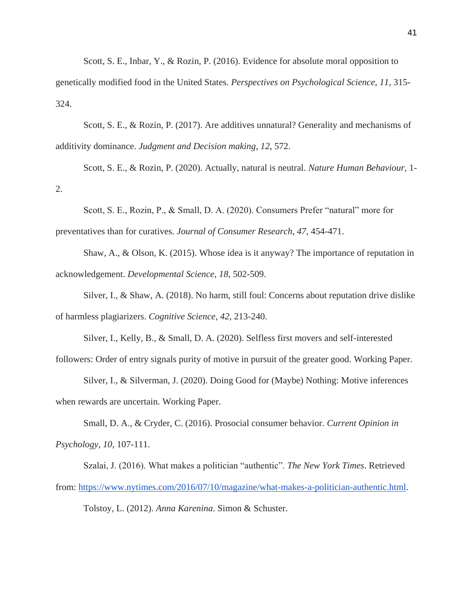Scott, S. E., Inbar, Y., & Rozin, P. (2016). Evidence for absolute moral opposition to genetically modified food in the United States. *Perspectives on Psychological Science*, *11*, 315- 324.

Scott, S. E., & Rozin, P. (2017). Are additives unnatural? Generality and mechanisms of additivity dominance. *Judgment and Decision making*, *12*, 572.

Scott, S. E., & Rozin, P. (2020). Actually, natural is neutral. *Nature Human Behaviour*, 1- 2.

Scott, S. E., Rozin, P., & Small, D. A. (2020). Consumers Prefer "natural" more for preventatives than for curatives. *Journal of Consumer Research*, *47*, 454-471.

Shaw, A., & Olson, K. (2015). Whose idea is it anyway? The importance of reputation in acknowledgement. *Developmental Science*, *18*, 502-509.

Silver, I., & Shaw, A. (2018). No harm, still foul: Concerns about reputation drive dislike of harmless plagiarizers. *Cognitive Science*, *42*, 213-240.

Silver, I., Kelly, B., & Small, D. A. (2020). Selfless first movers and self-interested followers: Order of entry signals purity of motive in pursuit of the greater good. Working Paper.

Silver, I., & Silverman, J. (2020). Doing Good for (Maybe) Nothing: Motive inferences when rewards are uncertain. Working Paper.

Small, D. A., & Cryder, C. (2016). Prosocial consumer behavior. *Current Opinion in Psychology*, *10*, 107-111.

Szalai, J. (2016). What makes a politician "authentic". *The New York Times*. Retrieved from: [https://www.nytimes.com/2016/07/10/magazine/what-makes-a-politician-authentic.html.](https://www.nytimes.com/2016/07/10/magazine/what-makes-a-politician-authentic.html) Tolstoy, L. (2012). *Anna Karenina*. Simon & Schuster.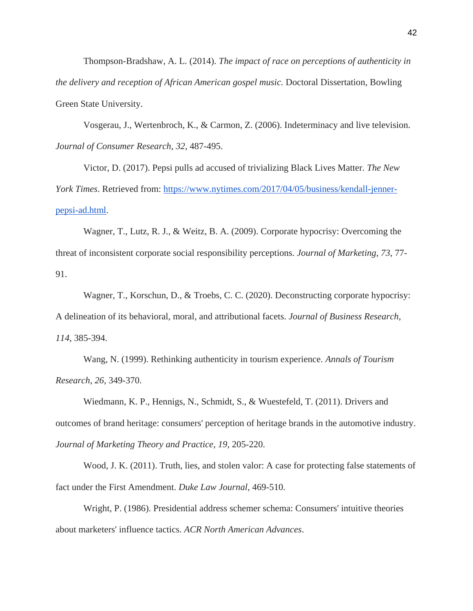Thompson-Bradshaw, A. L. (2014). *The impact of race on perceptions of authenticity in the delivery and reception of African American gospel music.* Doctoral Dissertation, Bowling Green State University.

Vosgerau, J., Wertenbroch, K., & Carmon, Z. (2006). Indeterminacy and live television. *Journal of Consumer Research*, *32*, 487-495.

Victor, D. (2017). Pepsi pulls ad accused of trivializing Black Lives Matter. *The New York Times*. Retrieved from: [https://www.nytimes.com/2017/04/05/business/kendall-jenner](https://www.nytimes.com/2017/04/05/business/kendall-jenner-pepsi-ad.html)[pepsi-ad.html.](https://www.nytimes.com/2017/04/05/business/kendall-jenner-pepsi-ad.html)

Wagner, T., Lutz, R. J., & Weitz, B. A. (2009). Corporate hypocrisy: Overcoming the threat of inconsistent corporate social responsibility perceptions. *Journal of Marketing*, *73*, 77- 91.

Wagner, T., Korschun, D., & Troebs, C. C. (2020). Deconstructing corporate hypocrisy: A delineation of its behavioral, moral, and attributional facets. *Journal of Business Research*, *114*, 385-394.

Wang, N. (1999). Rethinking authenticity in tourism experience. *Annals of Tourism Research*, *26*, 349-370.

Wiedmann, K. P., Hennigs, N., Schmidt, S., & Wuestefeld, T. (2011). Drivers and outcomes of brand heritage: consumers' perception of heritage brands in the automotive industry. *Journal of Marketing Theory and Practice*, *19*, 205-220.

Wood, J. K. (2011). Truth, lies, and stolen valor: A case for protecting false statements of fact under the First Amendment. *Duke Law Journal*, 469-510.

Wright, P. (1986). Presidential address schemer schema: Consumers' intuitive theories about marketers' influence tactics. *ACR North American Advances*.